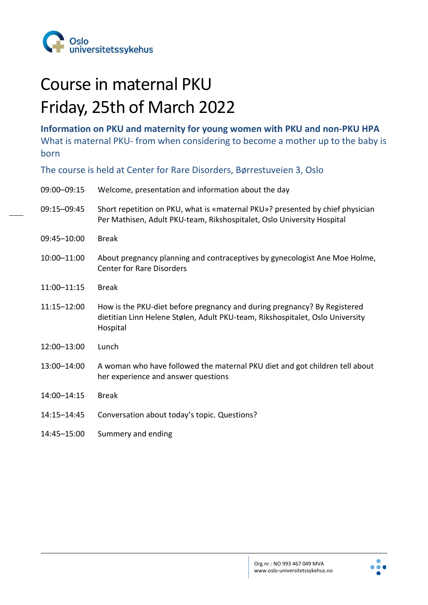

## Course in maternal PKU Friday, 25th of March 2022

**Information on PKU and maternity for young women with PKU and non-PKU HPA**  What is maternal PKU- from when considering to become a mother up to the baby is born

The course is held at Center for Rare Disorders, Børrestuveien 3, Oslo

| 09:00-09:15 | Welcome, presentation and information about the day                                                                                                                   |
|-------------|-----------------------------------------------------------------------------------------------------------------------------------------------------------------------|
| 09:15-09:45 | Short repetition on PKU, what is «maternal PKU»? presented by chief physician<br>Per Mathisen, Adult PKU-team, Rikshospitalet, Oslo University Hospital               |
| 09:45-10:00 | <b>Break</b>                                                                                                                                                          |
| 10:00-11:00 | About pregnancy planning and contraceptives by gynecologist Ane Moe Holme,<br><b>Center for Rare Disorders</b>                                                        |
| 11:00-11:15 | <b>Break</b>                                                                                                                                                          |
| 11:15-12:00 | How is the PKU-diet before pregnancy and during pregnancy? By Registered<br>dietitian Linn Helene Stølen, Adult PKU-team, Rikshospitalet, Oslo University<br>Hospital |
| 12:00-13:00 | Lunch                                                                                                                                                                 |
| 13:00-14:00 | A woman who have followed the maternal PKU diet and got children tell about<br>her experience and answer questions                                                    |
| 14:00-14:15 | <b>Break</b>                                                                                                                                                          |
| 14:15-14:45 | Conversation about today's topic. Questions?                                                                                                                          |
| 14:45-15:00 | Summery and ending                                                                                                                                                    |